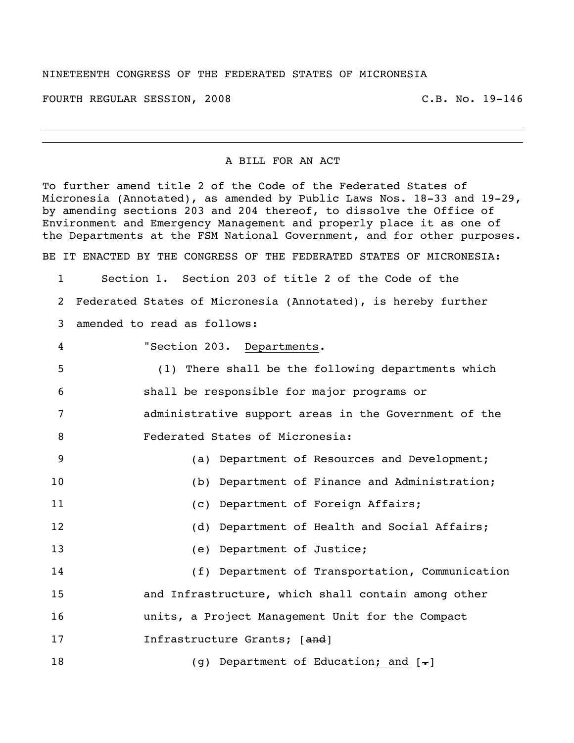## NINETEENTH CONGRESS OF THE FEDERATED STATES OF MICRONESIA

FOURTH REGULAR SESSION, 2008 C.B. No. 19-146

## A BILL FOR AN ACT

To further amend title 2 of the Code of the Federated States of Micronesia (Annotated), as amended by Public Laws Nos. 18-33 and 19-29, by amending sections 203 and 204 thereof, to dissolve the Office of Environment and Emergency Management and properly place it as one of the Departments at the FSM National Government, and for other purposes. BE IT ENACTED BY THE CONGRESS OF THE FEDERATED STATES OF MICRONESIA:

 Section 1. Section 203 of title 2 of the Code of the Federated States of Micronesia (Annotated), is hereby further amended to read as follows: "Section 203. Departments. (1) There shall be the following departments which shall be responsible for major programs or administrative support areas in the Government of the

8 Federated States of Micronesia:

 (a) Department of Resources and Development; (b) Department of Finance and Administration; 11 (c) Department of Foreign Affairs; 12 (d) Department of Health and Social Affairs; (e) Department of Justice; (f) Department of Transportation, Communication and Infrastructure, which shall contain among other units, a Project Management Unit for the Compact **Infrastructure Grants;** [and]

18 (g) Department of Education; and [-]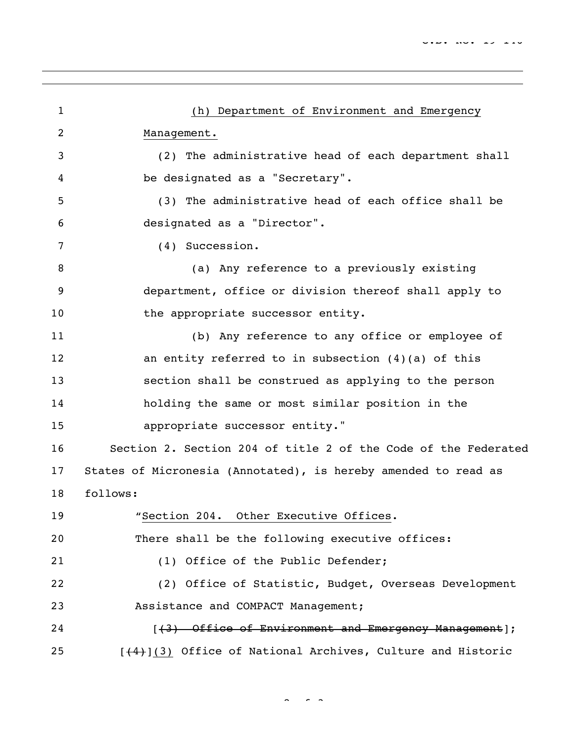| 1              | (h) Department of Environment and Emergency                    |
|----------------|----------------------------------------------------------------|
| $\overline{2}$ | Management.                                                    |
| 3              | (2) The administrative head of each department shall           |
| 4              | be designated as a "Secretary".                                |
| 5              | (3) The administrative head of each office shall be            |
| 6              | designated as a "Director".                                    |
| 7              | (4) Succession.                                                |
| 8              | (a) Any reference to a previously existing                     |
| 9              | department, office or division thereof shall apply to          |
| 10             | the appropriate successor entity.                              |
| 11             | (b) Any reference to any office or employee of                 |
| 12             | an entity referred to in subsection $(4)(a)$ of this           |
| 13             | section shall be construed as applying to the person           |
| 14             | holding the same or most similar position in the               |
| 15             | appropriate successor entity."                                 |
| 16             | Section 2. Section 204 of title 2 of the Code of the Federated |
| 17             | States of Micronesia (Annotated), is hereby amended to read as |
| 18             | follows:                                                       |
| 19             | "Section 204. Other Executive Offices.                         |
| 20             | There shall be the following executive offices:                |
| 21             | (1) Office of the Public Defender;                             |
| 22             | (2) Office of Statistic, Budget, Overseas Development          |
| 23             | Assistance and COMPACT Management;                             |
| 24             | [(3) Office of Environment and Emergency Management];          |
| 25             | [(4)](3) Office of National Archives, Culture and Historic     |

 $\sim$   $\sim$  3